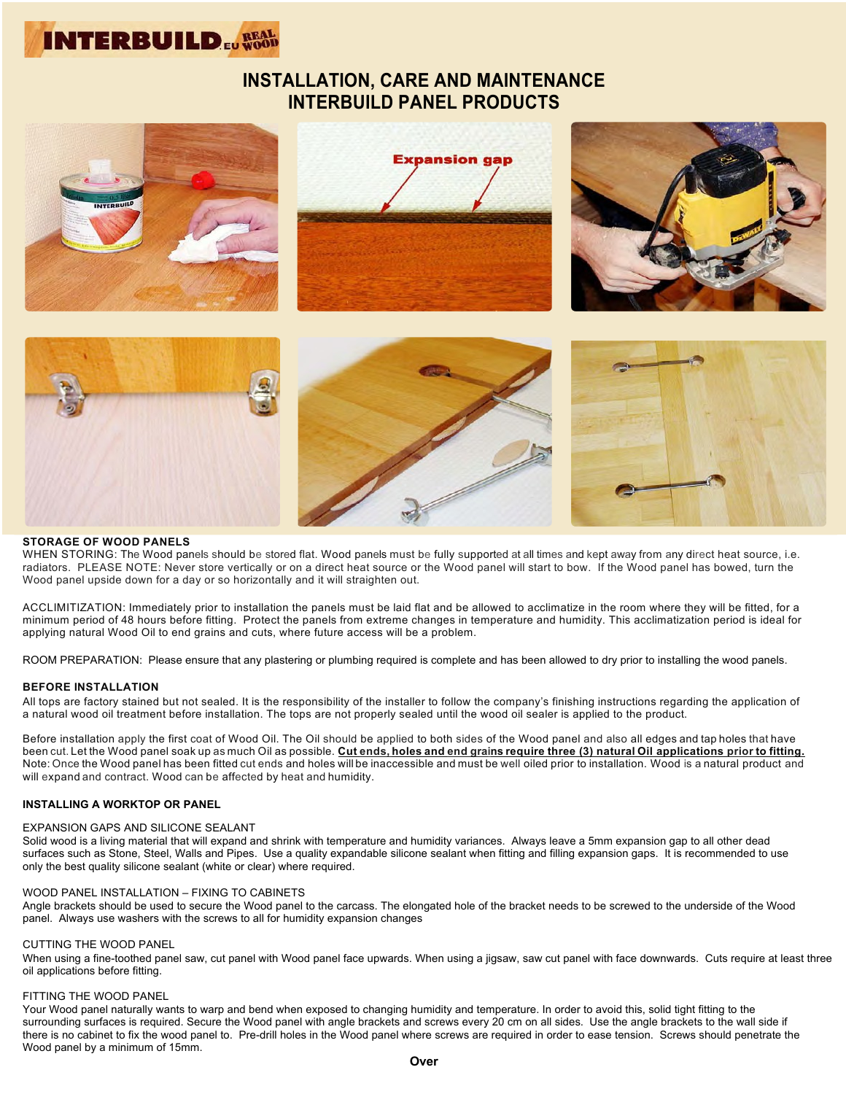

# **INSTALLATION, CARE AND MAINTENANCE INTERBUILD PANEL PRODUCTS**



#### **STORAGE OF WOOD PANELS**

WHEN STORING: The Wood panels should be stored flat. Wood panels must be fully supported at all times and kept away from any direct heat source, i.e. radiators. PLEASE NOTE: Never store vertically or on a direct heat source or the Wood panel will start to bow. If the Wood panel has bowed, turn the Wood panel upside down for a day or so horizontally and it will straighten out.

ACCLIMITIZATION: Immediately prior to installation the panels must be laid flat and be allowed to acclimatize in the room where they will be fitted, for a minimum period of 48 hours before fitting. Protect the panels from extreme changes in temperature and humidity. This acclimatization period is ideal for applying natural Wood Oil to end grains and cuts, where future access will be a problem.

ROOM PREPARATION: Please ensure that any plastering or plumbing required is complete and has been allowed to dry prior to installing the wood panels.

#### **BEFORE INSTALLATION**

All tops are factory stained but not sealed. It is the responsibility of the installer to follow the company's finishing instructions regarding the application of a natural wood oil treatment before installation. The tops are not properly sealed until the wood oil sealer is applied to the product.

Before installation apply the first coat of Wood Oil. The Oil should be applied to both sides of the Wood panel and also all edges and tap holes that have been cut. Let the Wood panel soak up as much Oil as possible. Cut ends, holes and end grains require three (3) natural Oil applications prior to fitting. Note: Once the Wood panel has been fitted cut ends and holes will be inaccessible and must be well oiled prior to installation. Wood is a natural product and will expand and contract. Wood can be affected by heat and humidity.

## **INSTALLING A WORKTOP OR PANEL**

#### EXPANSION GAPS AND SILICONE SEALANT

Solid wood is a living material that will expand and shrink with temperature and humidity variances. Always leave a 5mm expansion gap to all other dead surfaces such as Stone, Steel, Walls and Pipes. Use a quality expandable silicone sealant when fitting and filling expansion gaps. It is recommended to use only the best quality silicone sealant (white or clear) where required.

#### WOOD PANEL INSTALLATION – FIXING TO CABINETS

Angle brackets should be used to secure the Wood panel to the carcass. The elongated hole of the bracket needs to be screwed to the underside of the Wood panel. Always use washers with the screws to all for humidity expansion changes

#### CUTTING THE WOOD PANEL

When using a fine-toothed panel saw, cut panel with Wood panel face upwards. When using a jigsaw, saw cut panel with face downwards. Cuts require at least three oil applications before fitting.

## FITTING THE WOOD PANEL

Your Wood panel naturally wants to warp and bend when exposed to changing humidity and temperature. In order to avoid this, solid tight fitting to the surrounding surfaces is required. Secure the Wood panel with angle brackets and screws every 20 cm on all sides. Use the angle brackets to the wall side if there is no cabinet to fix the wood panel to. Pre-drill holes in the Wood panel where screws are required in order to ease tension. Screws should penetrate the Wood panel by a minimum of 15mm.